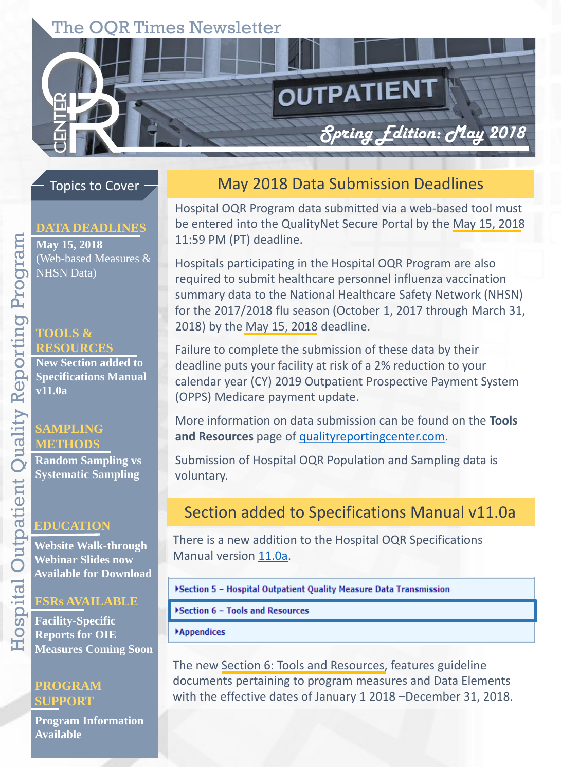# The OQR Times Newsletter

#### Topics to Cover

#### **DATA DEADLINES**

**May 15, 2018**  (Web-based Measures & NHSN Data)

#### **TOOLS & RESOURCES**

**New Section added to Specifications Manual v11.0a**

## **SAMPLING METHODS**

**Random Sampling vs Systematic Sampling**

#### **EDUCATION**

**Website Walk-through Webinar Slides now Available for Download**

#### **FSRs AVAILABLE**

**Facility-Specific Reports for OIE Measures Coming Soon**

#### **PROGRAM SUPPORT**

**Program Information Available** 

### May 2018 Data Submission Deadlines

OUTPATIENT

*Spring Edition: May 2018* 

Hospital OQR Program data submitted via a web-based tool must be entered into the QualityNet Secure Portal by the May 15, 2018 11:59 PM (PT) deadline.

Hospitals participating in the Hospital OQR Program are also required to submit healthcare personnel influenza vaccination summary data to the National Healthcare Safety Network (NHSN) for the 2017/2018 flu season (October 1, 2017 through March 31, 2018) by the May 15, 2018 deadline.

Failure to complete the submission of these data by their deadline puts your facility at risk of a 2% reduction to your calendar year (CY) 2019 Outpatient Prospective Payment System (OPPS) Medicare payment update.

More information on data submission can be found on the **Tools and Resources** page of [qualityreportingcenter.com.](https://www.qualityreportingcenter.com/hospitaloqr/)

Submission of Hospital OQR Population and Sampling data is voluntary.

## Section added to Specifications Manual v11.0a

There is a new addition to the Hospital OQR Specifications Manual version [11.0a.](http://www.qualitynet.org/dcs/ContentServer?c=Page&pagename=QnetPublic/Page/SpecsManualTemplate&cid=1228776146046)

>Section 5 - Hospital Outpatient Quality Measure Data Transmission

Section 6 - Tools and Resources

**Appendices** 

The new Section 6: Tools and Resources, features guideline documents pertaining to program measures and Data Elements with the effective dates of January 1 2018 –December 31, 2018.